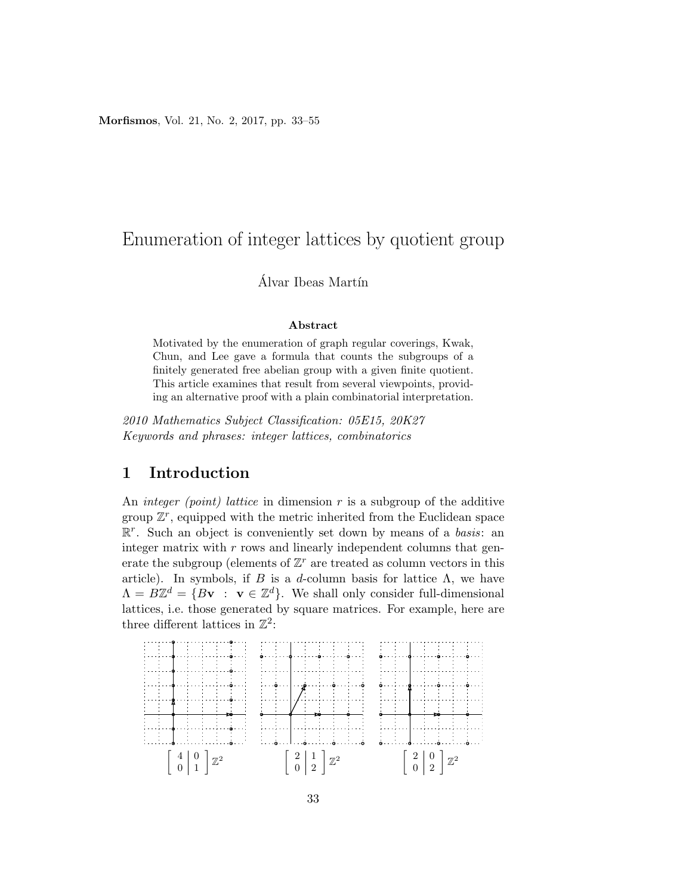Morfismos, Vol. 21, No. 2, 2017, pp. 33–55

# Enumeration of integer lattices by quotient group

### Álvar Ibeas Martín

#### Abstract

Motivated by the enumeration of graph regular coverings, Kwak, Chun, and Lee gave a formula that counts the subgroups of a finitely generated free abelian group with a given finite quotient. This article examines that result from several viewpoints, providing an alternative proof with a plain combinatorial interpretation.

2010 Mathematics Subject Classification: 05E15, 20K27 Keywords and phrases: integer lattices, combinatorics

### 1 Introduction

An *integer (point)* lattice in dimension  $r$  is a subgroup of the additive group  $\mathbb{Z}^r$ , equipped with the metric inherited from the Euclidean space  $\mathbb{R}^r$ . Such an object is conveniently set down by means of a *basis*: an integer matrix with  $r$  rows and linearly independent columns that generate the subgroup (elements of  $\mathbb{Z}^r$  are treated as column vectors in this article). In symbols, if B is a d-column basis for lattice  $\Lambda$ , we have  $\Lambda = B\mathbb{Z}^d = \{B\mathbf{v} : \mathbf{v} \in \mathbb{Z}^d\}$ . We shall only consider full-dimensional lattices, i.e. those generated by square matrices. For example, here are three different lattices in  $\mathbb{Z}^2$ :

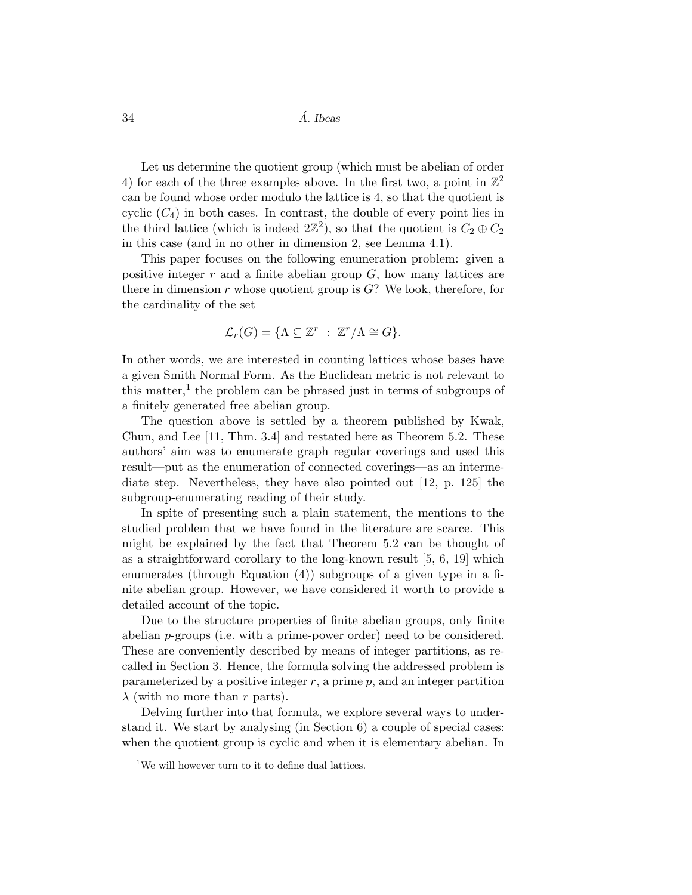$34$  *A. Ibeas* 

Let us determine the quotient group (which must be abelian of order 4) for each of the three examples above. In the first two, a point in  $\mathbb{Z}^2$ can be found whose order modulo the lattice is 4, so that the quotient is cyclic  $(C_4)$  in both cases. In contrast, the double of every point lies in the third lattice (which is indeed  $2\mathbb{Z}^2$ ), so that the quotient is  $C_2 \oplus C_2$ in this case (and in no other in dimension 2, see Lemma 4.1).

This paper focuses on the following enumeration problem: given a positive integer  $r$  and a finite abelian group  $G$ , how many lattices are there in dimension  $r$  whose quotient group is  $G$ ? We look, therefore, for the cardinality of the set

$$
\mathcal{L}_r(G) = \{ \Lambda \subseteq \mathbb{Z}^r \ : \ \mathbb{Z}^r / \Lambda \cong G \}.
$$

In other words, we are interested in counting lattices whose bases have a given Smith Normal Form. As the Euclidean metric is not relevant to this matter,<sup>1</sup> the problem can be phrased just in terms of subgroups of a finitely generated free abelian group.

The question above is settled by a theorem published by Kwak, Chun, and Lee [11, Thm. 3.4] and restated here as Theorem 5.2. These authors' aim was to enumerate graph regular coverings and used this result—put as the enumeration of connected coverings—as an intermediate step. Nevertheless, they have also pointed out [12, p. 125] the subgroup-enumerating reading of their study.

In spite of presenting such a plain statement, the mentions to the studied problem that we have found in the literature are scarce. This might be explained by the fact that Theorem 5.2 can be thought of as a straightforward corollary to the long-known result [5, 6, 19] which enumerates (through Equation (4)) subgroups of a given type in a finite abelian group. However, we have considered it worth to provide a detailed account of the topic.

Due to the structure properties of finite abelian groups, only finite abelian p-groups (i.e. with a prime-power order) need to be considered. These are conveniently described by means of integer partitions, as recalled in Section 3. Hence, the formula solving the addressed problem is parameterized by a positive integer  $r$ , a prime  $p$ , and an integer partition  $\lambda$  (with no more than r parts).

Delving further into that formula, we explore several ways to understand it. We start by analysing (in Section 6) a couple of special cases: when the quotient group is cyclic and when it is elementary abelian. In

 $1$ We will however turn to it to define dual lattices.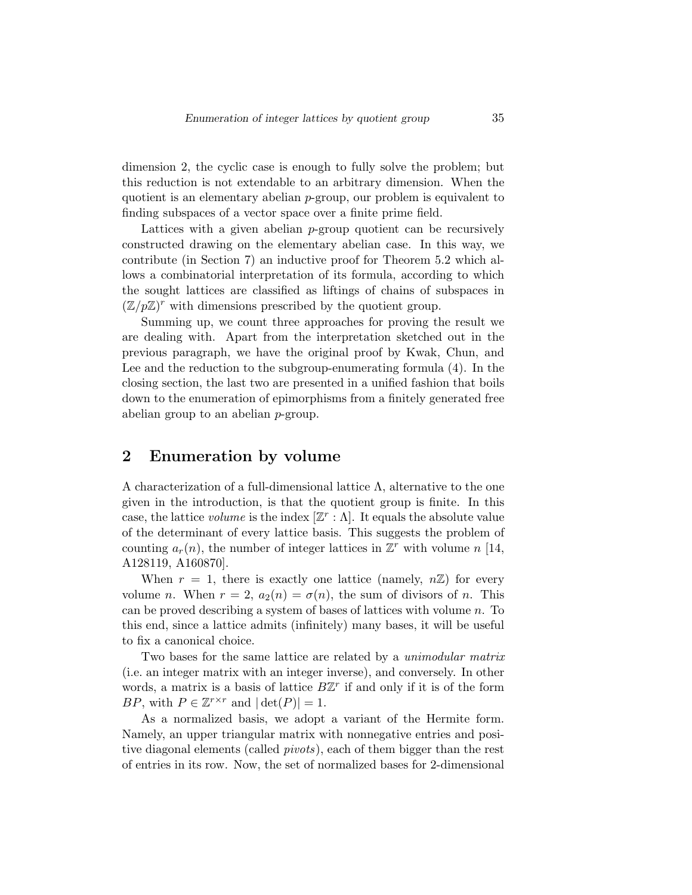dimension 2, the cyclic case is enough to fully solve the problem; but this reduction is not extendable to an arbitrary dimension. When the quotient is an elementary abelian  $p$ -group, our problem is equivalent to finding subspaces of a vector space over a finite prime field.

Lattices with a given abelian p-group quotient can be recursively constructed drawing on the elementary abelian case. In this way, we contribute (in Section 7) an inductive proof for Theorem 5.2 which allows a combinatorial interpretation of its formula, according to which the sought lattices are classified as liftings of chains of subspaces in  $(\mathbb{Z}/p\mathbb{Z})^r$  with dimensions prescribed by the quotient group.

Summing up, we count three approaches for proving the result we are dealing with. Apart from the interpretation sketched out in the previous paragraph, we have the original proof by Kwak, Chun, and Lee and the reduction to the subgroup-enumerating formula (4). In the closing section, the last two are presented in a unified fashion that boils down to the enumeration of epimorphisms from a finitely generated free abelian group to an abelian p-group.

### 2 Enumeration by volume

A characterization of a full-dimensional lattice  $\Lambda$ , alternative to the one given in the introduction, is that the quotient group is finite. In this case, the lattice volume is the index  $[\mathbb{Z}^r : \Lambda]$ . It equals the absolute value of the determinant of every lattice basis. This suggests the problem of counting  $a_r(n)$ , the number of integer lattices in  $\mathbb{Z}^r$  with volume n [14, A128119, A160870].

When  $r = 1$ , there is exactly one lattice (namely,  $n\mathbb{Z}$ ) for every volume n. When  $r = 2$ ,  $a_2(n) = \sigma(n)$ , the sum of divisors of n. This can be proved describing a system of bases of lattices with volume n. To this end, since a lattice admits (infinitely) many bases, it will be useful to fix a canonical choice.

Two bases for the same lattice are related by a *unimodular matrix* (i.e. an integer matrix with an integer inverse), and conversely. In other words, a matrix is a basis of lattice  $B\mathbb{Z}^r$  if and only if it is of the form BP, with  $P \in \mathbb{Z}^{r \times r}$  and  $|\det(P)| = 1$ .

As a normalized basis, we adopt a variant of the Hermite form. Namely, an upper triangular matrix with nonnegative entries and positive diagonal elements (called *pivots*), each of them bigger than the rest of entries in its row. Now, the set of normalized bases for 2-dimensional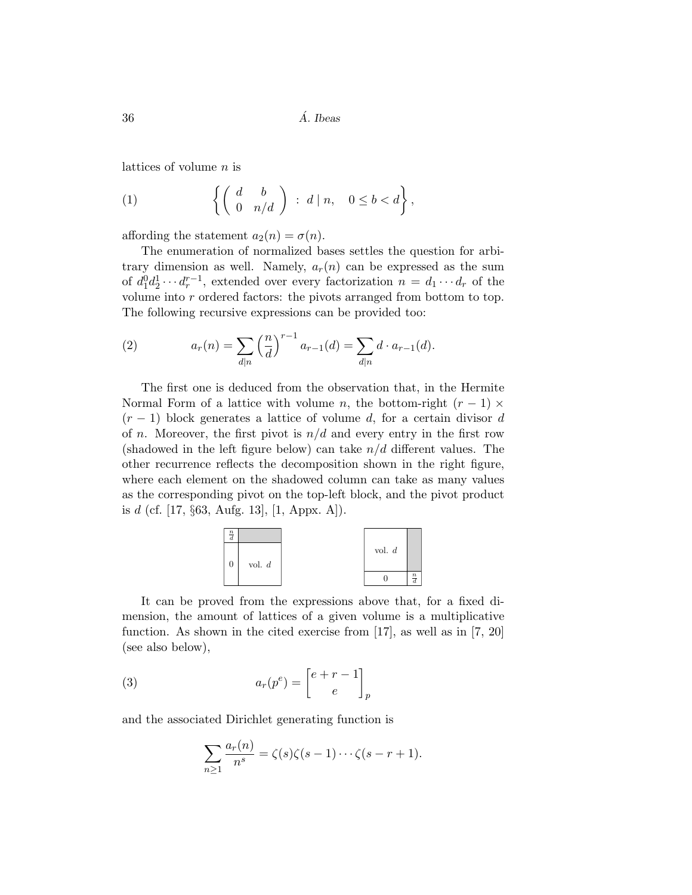lattices of volume  $n$  is

(1) 
$$
\left\{ \left( \begin{array}{cc} d & b \\ 0 & n/d \end{array} \right) : d \mid n, \quad 0 \leq b < d \right\},\
$$

affording the statement  $a_2(n) = \sigma(n)$ .

The enumeration of normalized bases settles the question for arbitrary dimension as well. Namely,  $a_r(n)$  can be expressed as the sum of  $d_1^0 d_2^1 \cdots d_r^{r-1}$ , extended over every factorization  $n = d_1 \cdots d_r$  of the volume into  $r$  ordered factors: the pivots arranged from bottom to top. The following recursive expressions can be provided too:

(2) 
$$
a_r(n) = \sum_{d|n} \left(\frac{n}{d}\right)^{r-1} a_{r-1}(d) = \sum_{d|n} d \cdot a_{r-1}(d).
$$

The first one is deduced from the observation that, in the Hermite Normal Form of a lattice with volume n, the bottom-right  $(r-1) \times$  $(r-1)$  block generates a lattice of volume d, for a certain divisor d of *n*. Moreover, the first pivot is  $n/d$  and every entry in the first row (shadowed in the left figure below) can take  $n/d$  different values. The other recurrence reflects the decomposition shown in the right figure, where each element on the shadowed column can take as many values as the corresponding pivot on the top-left block, and the pivot product is d (cf. [17,  $\S 63$ , Aufg. 13], [1, Appx. A]).



It can be proved from the expressions above that, for a fixed dimension, the amount of lattices of a given volume is a multiplicative function. As shown in the cited exercise from [17], as well as in [7, 20] (see also below),

(3) 
$$
a_r(p^e) = \begin{bmatrix} e+r-1 \\ e \end{bmatrix}_p
$$

and the associated Dirichlet generating function is

$$
\sum_{n\geq 1} \frac{a_r(n)}{n^s} = \zeta(s)\zeta(s-1)\cdots\zeta(s-r+1).
$$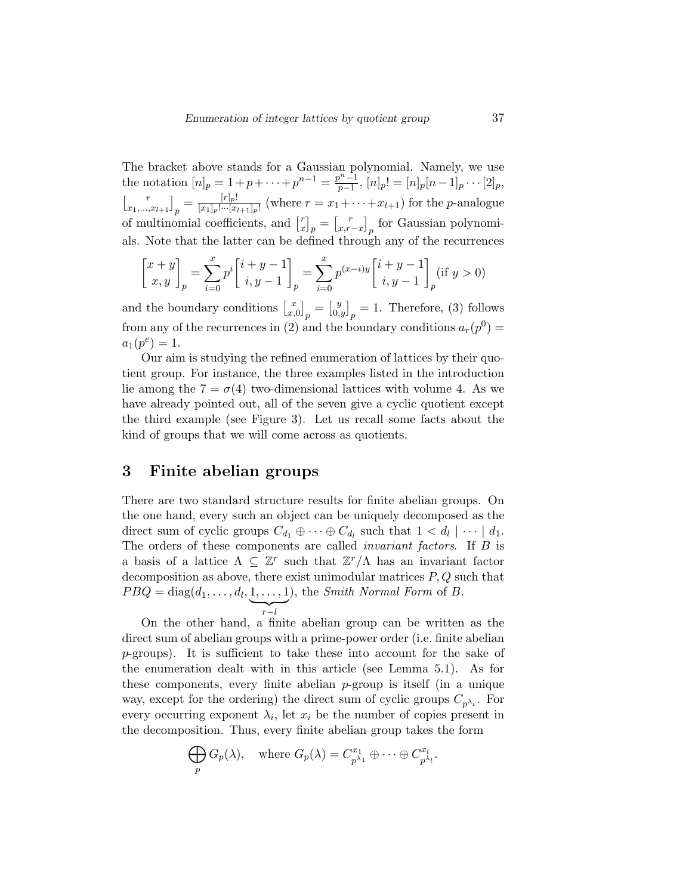The bracket above stands for a Gaussian polynomial. Namely, we use the notation  $[n]_p = 1 + p + \cdots + p^{n-1} = \frac{p^{n-1}}{p-1}$  $\frac{p^{\alpha}-1}{p-1}, [n]_p! = [n]_p[n-1]_p \cdots [2]_p,$  $\begin{bmatrix} r \end{bmatrix}$  $\left. \begin{array}{c} r \ x_1,...,x_{l+1} \end{array} \right]_p = \frac{[r]_p!}{[x_1]_p! \cdots [x_{l+1}]}$  $\frac{[r]p!}{[x_1]p!\cdots[x_{l+1}]p!}$  (where  $r = x_1 + \cdots + x_{l+1}$ ) for the *p*-analogue of multinomial coefficients, and  $\begin{bmatrix} r \end{bmatrix}$  $\begin{bmatrix} r \ x \end{bmatrix}_p = \begin{bmatrix} r \ x, r \end{bmatrix}$  $\begin{bmatrix} r \\ x, r-x \end{bmatrix}$  for Gaussian polynomials. Note that the latter can be defined through any of the recurrences

$$
\begin{bmatrix} x+y \\ x,y \end{bmatrix}_p = \sum_{i=0}^x p^i \begin{bmatrix} i+y-1 \\ i,y-1 \end{bmatrix}_p = \sum_{i=0}^x p^{(x-i)y} \begin{bmatrix} i+y-1 \\ i,y-1 \end{bmatrix}_p (\text{if } y > 0)
$$

and the boundary conditions  $\begin{bmatrix} x \\ x \end{bmatrix}$  $\begin{bmatrix} x \\ x, 0 \end{bmatrix}_p = \begin{bmatrix} y \\ 0, y \end{bmatrix}_p = 1$ . Therefore, (3) follows from any of the recurrences in (2) and the boundary conditions  $a_r(p^0)$  =  $a_1(p^e) = 1.$ 

Our aim is studying the refined enumeration of lattices by their quotient group. For instance, the three examples listed in the introduction lie among the  $7 = \sigma(4)$  two-dimensional lattices with volume 4. As we have already pointed out, all of the seven give a cyclic quotient except the third example (see Figure 3). Let us recall some facts about the kind of groups that we will come across as quotients.

### 3 Finite abelian groups

There are two standard structure results for finite abelian groups. On the one hand, every such an object can be uniquely decomposed as the direct sum of cyclic groups  $C_{d_1} \oplus \cdots \oplus C_{d_l}$  such that  $1 < d_l \mid \cdots \mid d_1$ . The orders of these components are called *invariant factors*. If B is a basis of a lattice  $\Lambda \subseteq \mathbb{Z}^r$  such that  $\mathbb{Z}^r/\Lambda$  has an invariant factor decomposition as above, there exist unimodular matrices  $P, Q$  such that  $PBQ = \text{diag}(d_1, \ldots, d_l, 1, \ldots, 1)$ ), the Smith Normal Form of B.

 $\sum_{r-l}$ On the other hand, a finite abelian group can be written as the direct sum of abelian groups with a prime-power order (i.e. finite abelian p-groups). It is sufficient to take these into account for the sake of the enumeration dealt with in this article (see Lemma 5.1). As for these components, every finite abelian  $p$ -group is itself (in a unique way, except for the ordering) the direct sum of cyclic groups  $C_{p^{\lambda_i}}$ . For every occurring exponent  $\lambda_i$ , let  $x_i$  be the number of copies present in the decomposition. Thus, every finite abelian group takes the form

$$
\bigoplus_p G_p(\lambda), \quad \text{where } G_p(\lambda) = C_{p^{\lambda_1}}^{x_1} \oplus \cdots \oplus C_{p^{\lambda_l}}^{x_l}.
$$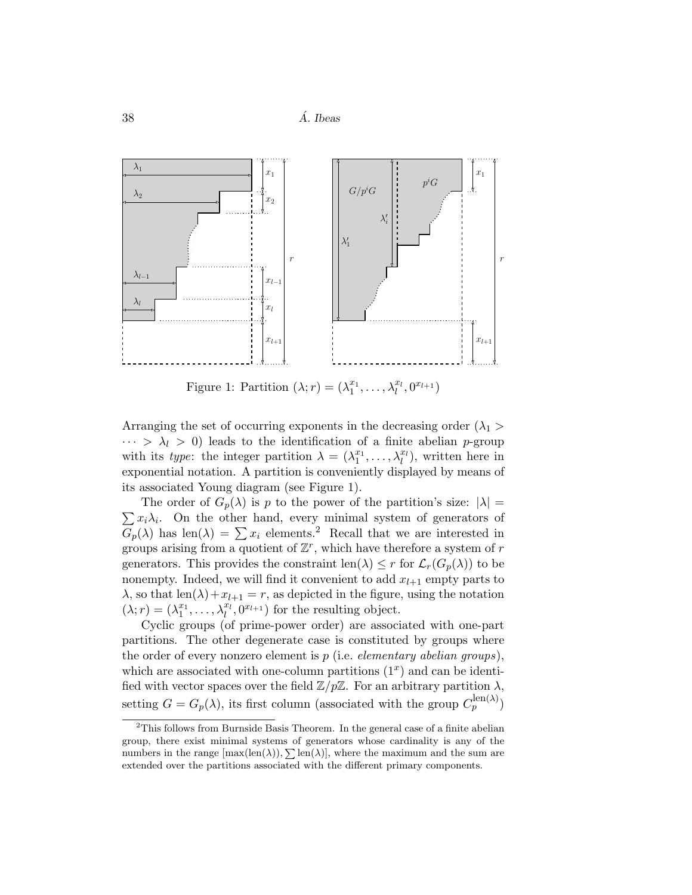

Figure 1: Partition  $(\lambda; r) = (\lambda_1^{x_1}, \dots, \lambda_l^{x_l}, 0^{x_{l+1}})$ 

Arranging the set of occurring exponents in the decreasing order  $(\lambda_1 >$  $\cdots > \lambda_l > 0$ ) leads to the identification of a finite abelian p-group with its type: the integer partition  $\lambda = (\lambda_1^{x_1}, \ldots, \lambda_l^{x_l})$ , written here in exponential notation. A partition is conveniently displayed by means of its associated Young diagram (see Figure 1).

 $\sum x_i \lambda_i$ . On the other hand, every minimal system of generators of The order of  $G_p(\lambda)$  is p to the power of the partition's size:  $|\lambda| =$  $G_p(\lambda)$  has len( $\lambda$ ) =  $\sum x_i$  elements.<sup>2</sup> Recall that we are interested in groups arising from a quotient of  $\mathbb{Z}^r$ , which have therefore a system of r generators. This provides the constraint len( $\lambda$ )  $\leq r$  for  $\mathcal{L}_r(G_p(\lambda))$  to be nonempty. Indeed, we will find it convenient to add  $x_{l+1}$  empty parts to  $\lambda$ , so that len( $\lambda$ ) +  $x_{l+1} = r$ , as depicted in the figure, using the notation  $(\lambda; r) = (\lambda_1^{x_1}, \ldots, \lambda_l^{x_l}, 0^{x_{l+1}})$  for the resulting object.

Cyclic groups (of prime-power order) are associated with one-part partitions. The other degenerate case is constituted by groups where the order of every nonzero element is  $p$  (i.e. *elementary abelian groups*), which are associated with one-column partitions  $(1<sup>x</sup>)$  and can be identified with vector spaces over the field  $\mathbb{Z}/p\mathbb{Z}$ . For an arbitrary partition  $\lambda$ , setting  $G = G_p(\lambda)$ , its first column (associated with the group  $C_p^{\text{len}(\lambda)}$ )

<sup>&</sup>lt;sup>2</sup>This follows from Burnside Basis Theorem. In the general case of a finite abelian group, there exist minimal systems of generators whose cardinality is any of the numbers in the range  $[\max(\text{len}(\lambda)), \sum \text{len}(\lambda)]$ , where the maximum and the sum are extended over the partitions associated with the different primary components.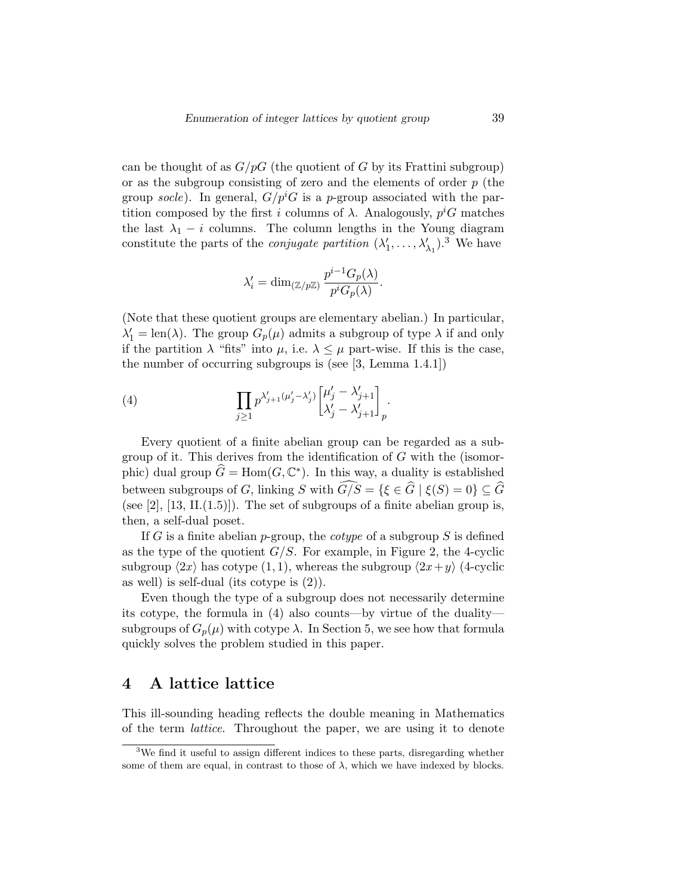can be thought of as  $G/pG$  (the quotient of G by its Frattini subgroup) or as the subgroup consisting of zero and the elements of order  $p$  (the group socle). In general,  $G/p^iG$  is a p-group associated with the partition composed by the first i columns of  $\lambda$ . Analogously,  $p^iG$  matches the last  $\lambda_1 - i$  columns. The column lengths in the Young diagram constitute the parts of the *conjugate partition*  $(\lambda'_1, \ldots, \lambda'_{\lambda_1})$ .<sup>3</sup> We have

$$
\lambda_i'=\dim_{({\mathbb Z}/p{\mathbb Z})}\frac{p^{i-1}G_p(\lambda)}{p^iG_p(\lambda)}.
$$

(Note that these quotient groups are elementary abelian.) In particular,  $\lambda'_1 = \text{len}(\lambda)$ . The group  $G_p(\mu)$  admits a subgroup of type  $\lambda$  if and only if the partition  $\lambda$  "fits" into  $\mu$ , i.e.  $\lambda \leq \mu$  part-wise. If this is the case, the number of occurring subgroups is (see [3, Lemma 1.4.1])

(4) 
$$
\prod_{j\geq 1} p^{\lambda'_{j+1}(\mu'_j-\lambda'_j)} \begin{bmatrix} \mu'_j-\lambda'_{j+1} \\ \lambda'_j-\lambda'_{j+1} \end{bmatrix}_p.
$$

Every quotient of a finite abelian group can be regarded as a subgroup of it. This derives from the identification of G with the (isomorphic) dual group  $\widehat{G} = \text{Hom}(G, \mathbb{C}^*)$ . In this way, a duality is established between subgroups of G, linking S with  $\widehat{G/S} = {\xi \in \widehat{G} | \xi(S) = 0} \subseteq \widehat{G}$ (see [2],  $[13, II(1.5)]$ ). The set of subgroups of a finite abelian group is, then, a self-dual poset.

If G is a finite abelian p-group, the *cotype* of a subgroup S is defined as the type of the quotient  $G/S$ . For example, in Figure 2, the 4-cyclic subgroup  $\langle 2x \rangle$  has cotype  $(1, 1)$ , whereas the subgroup  $\langle 2x+y \rangle$  (4-cyclic as well) is self-dual (its cotype is (2)).

Even though the type of a subgroup does not necessarily determine its cotype, the formula in (4) also counts—by virtue of the duality subgroups of  $G_p(\mu)$  with cotype  $\lambda$ . In Section 5, we see how that formula quickly solves the problem studied in this paper.

#### 4 A lattice lattice

This ill-sounding heading reflects the double meaning in Mathematics of the term lattice. Throughout the paper, we are using it to denote

<sup>3</sup>We find it useful to assign different indices to these parts, disregarding whether some of them are equal, in contrast to those of  $\lambda$ , which we have indexed by blocks.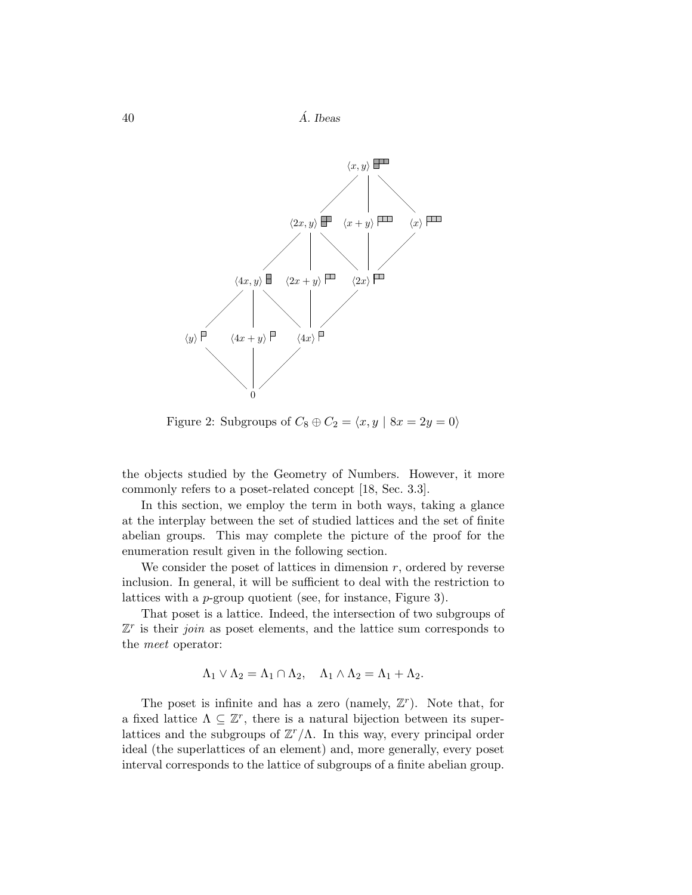

Figure 2: Subgroups of  $C_8 \oplus C_2 = \langle x, y \mid 8x = 2y = 0 \rangle$ 

the objects studied by the Geometry of Numbers. However, it more commonly refers to a poset-related concept [18, Sec. 3.3].

In this section, we employ the term in both ways, taking a glance at the interplay between the set of studied lattices and the set of finite abelian groups. This may complete the picture of the proof for the enumeration result given in the following section.

We consider the poset of lattices in dimension  $r$ , ordered by reverse inclusion. In general, it will be sufficient to deal with the restriction to lattices with a p-group quotient (see, for instance, Figure 3).

That poset is a lattice. Indeed, the intersection of two subgroups of  $\mathbb{Z}^r$  is their *join* as poset elements, and the lattice sum corresponds to the meet operator:

$$
\Lambda_1 \vee \Lambda_2 = \Lambda_1 \cap \Lambda_2, \quad \Lambda_1 \wedge \Lambda_2 = \Lambda_1 + \Lambda_2.
$$

The poset is infinite and has a zero (namely,  $\mathbb{Z}^r$ ). Note that, for a fixed lattice  $\Lambda \subseteq \mathbb{Z}^r$ , there is a natural bijection between its superlattices and the subgroups of  $\mathbb{Z}^r/\Lambda$ . In this way, every principal order ideal (the superlattices of an element) and, more generally, every poset interval corresponds to the lattice of subgroups of a finite abelian group.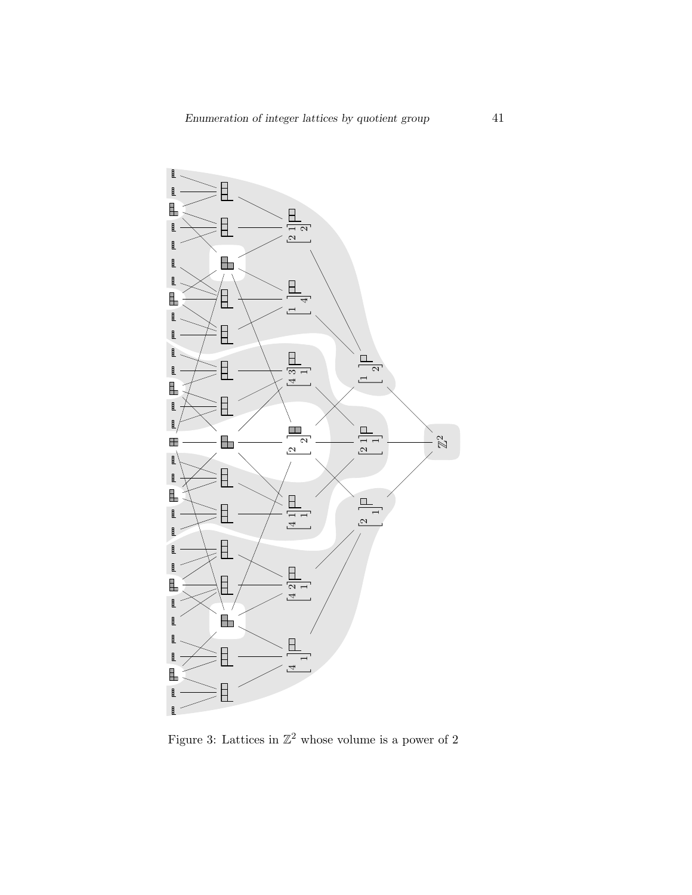

Figure 3: Lattices in  $\mathbb{Z}^2$  whose volume is a power of 2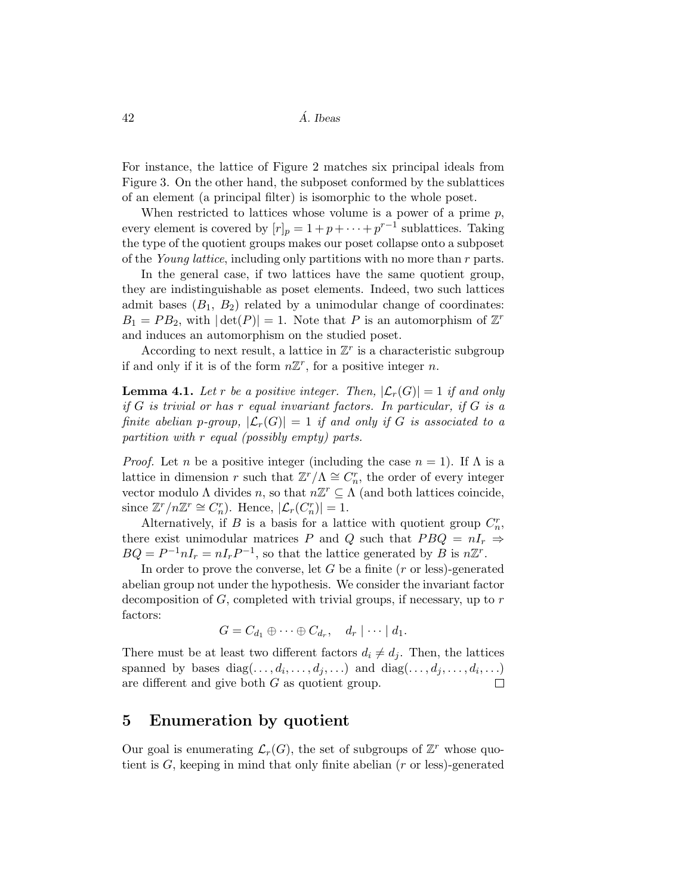For instance, the lattice of Figure 2 matches six principal ideals from Figure 3. On the other hand, the subposet conformed by the sublattices of an element (a principal filter) is isomorphic to the whole poset.

When restricted to lattices whose volume is a power of a prime  $p$ , every element is covered by  $[r]_p = 1 + p + \cdots + p^{r-1}$  sublattices. Taking the type of the quotient groups makes our poset collapse onto a subposet of the Young lattice, including only partitions with no more than r parts.

In the general case, if two lattices have the same quotient group, they are indistinguishable as poset elements. Indeed, two such lattices admit bases  $(B_1, B_2)$  related by a unimodular change of coordinates:  $B_1 = PB_2$ , with  $|\det(P)| = 1$ . Note that P is an automorphism of  $\mathbb{Z}^r$ and induces an automorphism on the studied poset.

According to next result, a lattice in  $\mathbb{Z}^r$  is a characteristic subgroup if and only if it is of the form  $n\mathbb{Z}^r$ , for a positive integer n.

**Lemma 4.1.** Let r be a positive integer. Then,  $|\mathcal{L}_r(G)| = 1$  if and only if  $G$  is trivial or has r equal invariant factors. In particular, if  $G$  is a finite abelian p-group,  $|\mathcal{L}_r(G)| = 1$  if and only if G is associated to a partition with r equal (possibly empty) parts.

*Proof.* Let n be a positive integer (including the case  $n = 1$ ). If  $\Lambda$  is a lattice in dimension r such that  $\mathbb{Z}^r/\Lambda \cong C_n^r$ , the order of every integer vector modulo  $\Lambda$  divides  $n$ , so that  $n\mathbb{Z}^r \subseteq \Lambda$  (and both lattices coincide, since  $\mathbb{Z}^r/n\mathbb{Z}^r \cong C_n^r$ . Hence,  $|\mathcal{L}_r(C_n^r)| = 1$ .

Alternatively, if B is a basis for a lattice with quotient group  $C_n^r$ , there exist unimodular matrices P and Q such that  $PBQ = nI_r \Rightarrow$  $BQ = P^{-1}nI_r = nI_rP^{-1}$ , so that the lattice generated by B is  $n\mathbb{Z}^r$ .

In order to prove the converse, let  $G$  be a finite  $(r \text{ or } \text{less})$ -generated abelian group not under the hypothesis. We consider the invariant factor decomposition of  $G$ , completed with trivial groups, if necessary, up to  $r$ factors:

$$
G = C_{d_1} \oplus \cdots \oplus C_{d_r}, \quad d_r \mid \cdots \mid d_1.
$$

There must be at least two different factors  $d_i \neq d_j$ . Then, the lattices spanned by bases  $diag(\ldots, d_i, \ldots, d_j, \ldots)$  and  $diag(\ldots, d_j, \ldots, d_i, \ldots)$ are different and give both G as quotient group.

#### 5 Enumeration by quotient

Our goal is enumerating  $\mathcal{L}_r(G)$ , the set of subgroups of  $\mathbb{Z}^r$  whose quotient is  $G$ , keeping in mind that only finite abelian  $(r \text{ or } \text{less})$ -generated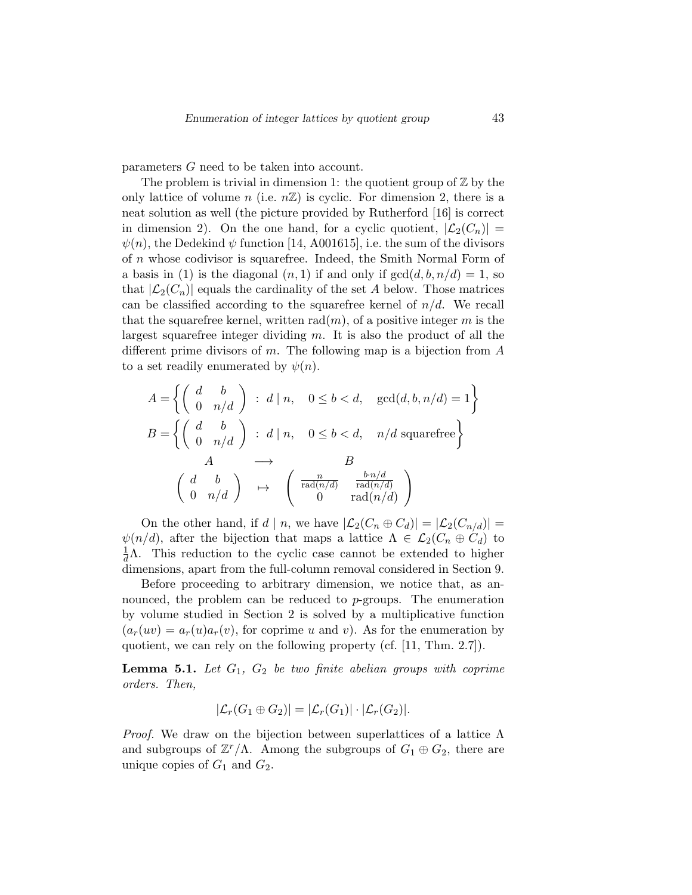parameters G need to be taken into account.

The problem is trivial in dimension 1: the quotient group of  $\mathbb{Z}$  by the only lattice of volume n (i.e.  $n\mathbb{Z}$ ) is cyclic. For dimension 2, there is a neat solution as well (the picture provided by Rutherford [16] is correct in dimension 2). On the one hand, for a cyclic quotient,  $|\mathcal{L}_2(C_n)| =$  $\psi(n)$ , the Dedekind  $\psi$  function [14, A001615], i.e. the sum of the divisors of n whose codivisor is squarefree. Indeed, the Smith Normal Form of a basis in (1) is the diagonal  $(n, 1)$  if and only if  $gcd(d, b, n/d) = 1$ , so that  $|\mathcal{L}_2(C_n)|$  equals the cardinality of the set A below. Those matrices can be classified according to the squarefree kernel of  $n/d$ . We recall that the squarefree kernel, written  $rad(m)$ , of a positive integer m is the largest squarefree integer dividing  $m$ . It is also the product of all the different prime divisors of m. The following map is a bijection from  $A$ to a set readily enumerated by  $\psi(n)$ .

$$
A = \left\{ \begin{pmatrix} d & b \\ 0 & n/d \end{pmatrix} : d \mid n, \quad 0 \le b < d, \quad \gcd(d, b, n/d) = 1 \right\}
$$
  

$$
B = \left\{ \begin{pmatrix} d & b \\ 0 & n/d \end{pmatrix} : d \mid n, \quad 0 \le b < d, \quad n/d \text{ squarefree} \right\}
$$
  

$$
A \longrightarrow B
$$
  

$$
\begin{pmatrix} d & b \\ 0 & n/d \end{pmatrix} \mapsto \begin{pmatrix} \frac{n}{\text{rad}(n/d)} & \frac{b \cdot n/d}{\text{rad}(n/d)} \\ 0 & \text{rad}(n/d) \end{pmatrix}
$$

On the other hand, if  $d | n$ , we have  $|\mathcal{L}_2(C_n \oplus C_d)| = |\mathcal{L}_2(C_{n/d})|$  $\psi(n/d)$ , after the bijection that maps a lattice  $\Lambda \in \mathcal{L}_2(C_n \oplus C_d)$  to  $\frac{1}{d}\Lambda$ . This reduction to the cyclic case cannot be extended to higher dimensions, apart from the full-column removal considered in Section 9.

Before proceeding to arbitrary dimension, we notice that, as announced, the problem can be reduced to  $p$ -groups. The enumeration by volume studied in Section 2 is solved by a multiplicative function  $(a_r(uv) = a_r(u)a_r(v)$ , for coprime u and v). As for the enumeration by quotient, we can rely on the following property (cf. [11, Thm. 2.7]).

**Lemma 5.1.** Let  $G_1$ ,  $G_2$  be two finite abelian groups with coprime orders. Then,

$$
|\mathcal{L}_r(G_1 \oplus G_2)| = |\mathcal{L}_r(G_1)| \cdot |\mathcal{L}_r(G_2)|.
$$

*Proof.* We draw on the bijection between superlattices of a lattice  $\Lambda$ and subgroups of  $\mathbb{Z}^r/\Lambda$ . Among the subgroups of  $G_1 \oplus G_2$ , there are unique copies of  $G_1$  and  $G_2$ .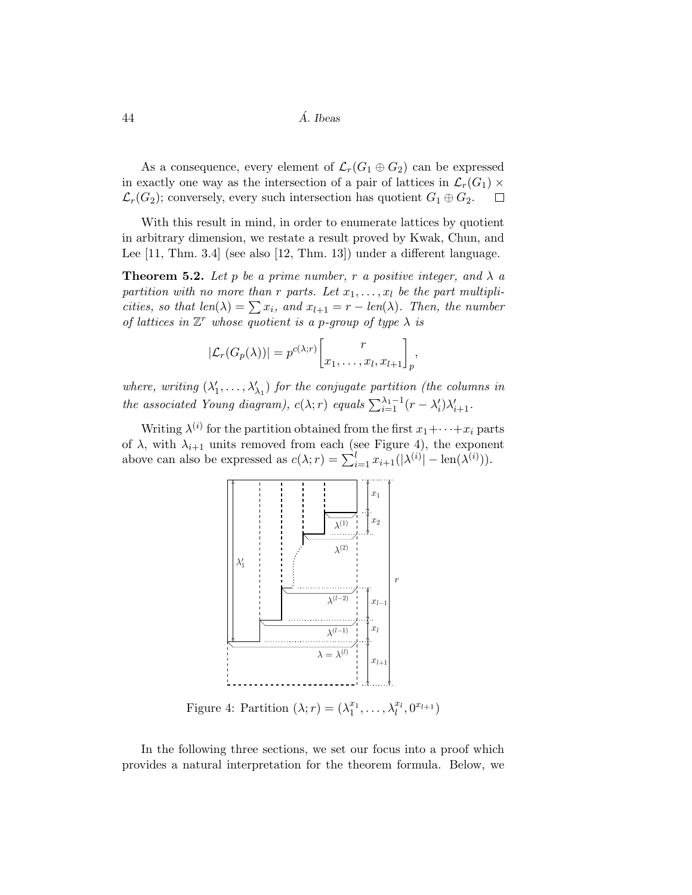As a consequence, every element of  $\mathcal{L}_r(G_1 \oplus G_2)$  can be expressed in exactly one way as the intersection of a pair of lattices in  $\mathcal{L}_r(G_1) \times \mathcal{L}_r(G_2)$ ; conversely, every such intersection has quotient  $G_1 \oplus G_2$ .  $\mathcal{L}_r(G_2)$ ; conversely, every such intersection has quotient  $G_1 \oplus G_2$ .

With this result in mind, in order to enumerate lattices by quotient in arbitrary dimension, we restate a result proved by Kwak, Chun, and Lee [11, Thm. 3.4] (see also [12, Thm. 13]) under a different language.

**Theorem 5.2.** Let p be a prime number, r a positive integer, and  $\lambda$  a partition with no more than r parts. Let  $x_1, \ldots, x_l$  be the part multiplicities, so that  $len(\lambda) = \sum x_i$ , and  $x_{l+1} = r - len(\lambda)$ . Then, the number of lattices in  $\mathbb{Z}^r$  whose quotient is a p-group of type  $\lambda$  is

$$
|\mathcal{L}_r(G_p(\lambda))| = p^{c(\lambda; r)} \left[ \begin{matrix} r \\ x_1, \dots, x_l, x_{l+1} \end{matrix} \right]_p,
$$

where, writing  $(\lambda'_1, \ldots, \lambda'_{\lambda_1})$  for the conjugate partition (the columns in the associated Young diagram),  $c(\lambda; r)$  equals  $\sum_{i=1}^{\lambda_1-1} (r - \lambda'_i) \lambda'_{i+1}$ .

Writing  $\lambda^{(i)}$  for the partition obtained from the first  $x_1 + \cdots + x_i$  parts of  $\lambda$ , with  $\lambda_{i+1}$  units removed from each (see Figure 4), the exponent above can also be expressed as  $c(\lambda; r) = \sum_{i=1}^{l} x_{i+1}(|\lambda^{(i)}| - \text{len}(\lambda^{(i)})).$ 



Figure 4: Partition  $(\lambda; r) = (\lambda_1^{x_1}, \ldots, \lambda_l^{x_l}, 0^{x_{l+1}})$ 

In the following three sections, we set our focus into a proof which provides a natural interpretation for the theorem formula. Below, we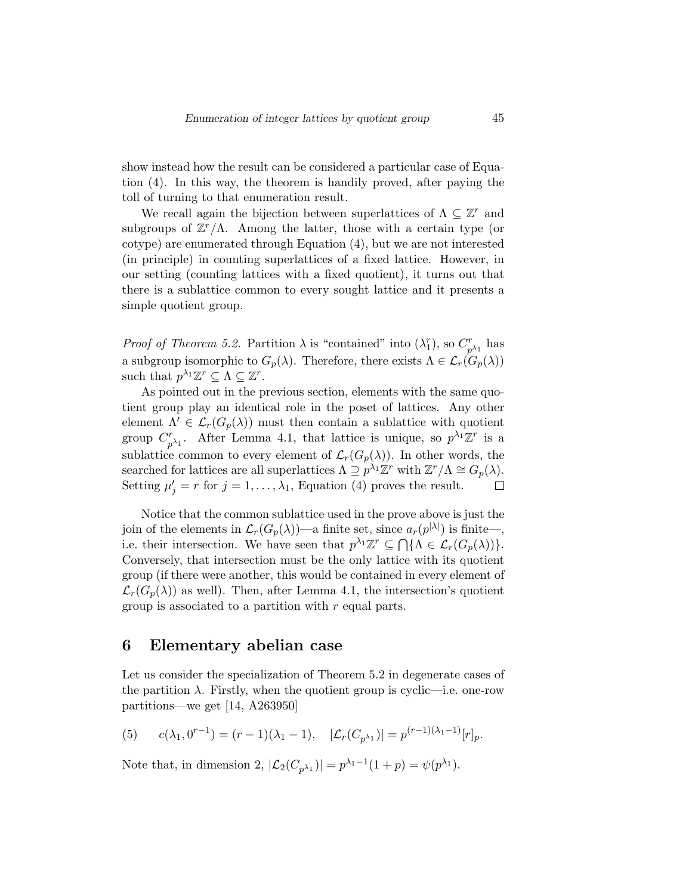show instead how the result can be considered a particular case of Equation (4). In this way, the theorem is handily proved, after paying the toll of turning to that enumeration result.

We recall again the bijection between superlattices of  $\Lambda \subseteq \mathbb{Z}^r$  and subgroups of  $\mathbb{Z}^r/\Lambda$ . Among the latter, those with a certain type (or cotype) are enumerated through Equation (4), but we are not interested (in principle) in counting superlattices of a fixed lattice. However, in our setting (counting lattices with a fixed quotient), it turns out that there is a sublattice common to every sought lattice and it presents a simple quotient group.

*Proof of Theorem 5.2.* Partition  $\lambda$  is "contained" into  $(\lambda_1^r)$ , so  $C_p^r$  $_{p^{\lambda_1}}^r$  has a subgroup isomorphic to  $G_p(\lambda)$ . Therefore, there exists  $\Lambda \in \mathcal{L}_r(G_p(\lambda))$ such that  $p^{\lambda_1} \mathbb{Z}^r \subseteq \Lambda \subseteq \mathbb{Z}^r$ .

As pointed out in the previous section, elements with the same quotient group play an identical role in the poset of lattices. Any other element  $\Lambda' \in \mathcal{L}_r(G_p(\lambda))$  must then contain a sublattice with quotient  $p^{\lambda_1}$ . After Lemma 4.1, that lattice is unique, so  $p^{\lambda_1}\mathbb{Z}^r$  is a group  $C_r^r$ sublattice common to every element of  $\mathcal{L}_r(G_p(\lambda))$ . In other words, the searched for lattices are all superlattices  $\Lambda \supseteq p^{\lambda_1} \mathbb{Z}^r$  with  $\mathbb{Z}^r / \Lambda \cong G_p(\lambda)$ . Setting  $\mu'_j = r$  for  $j = 1, ..., \lambda_1$ , Equation (4) proves the result.  $\Box$ 

Notice that the common sublattice used in the prove above is just the join of the elements in  $\mathcal{L}_r(G_p(\lambda))$ —a finite set, since  $a_r(p^{|\lambda|})$  is finite—, i.e. their intersection. We have seen that  $p^{\lambda_1} \mathbb{Z}^r \subseteq \bigcap \{\Lambda \in \mathcal{L}_r(G_p(\lambda))\}.$ Conversely, that intersection must be the only lattice with its quotient group (if there were another, this would be contained in every element of  $\mathcal{L}_r(G_p(\lambda))$  as well). Then, after Lemma 4.1, the intersection's quotient group is associated to a partition with  $r$  equal parts.

#### 6 Elementary abelian case

Let us consider the specialization of Theorem 5.2 in degenerate cases of the partition  $\lambda$ . Firstly, when the quotient group is cyclic—i.e. one-row partitions—we get [14, A263950]

(5) 
$$
c(\lambda_1, 0^{r-1}) = (r-1)(\lambda_1 - 1), \quad |\mathcal{L}_r(C_{p^{\lambda_1}})| = p^{(r-1)(\lambda_1 - 1)}[r]_p.
$$

Note that, in dimension 2,  $|\mathcal{L}_2(C_{p^{\lambda_1}})| = p^{\lambda_1 - 1}(1 + p) = \psi(p^{\lambda_1}).$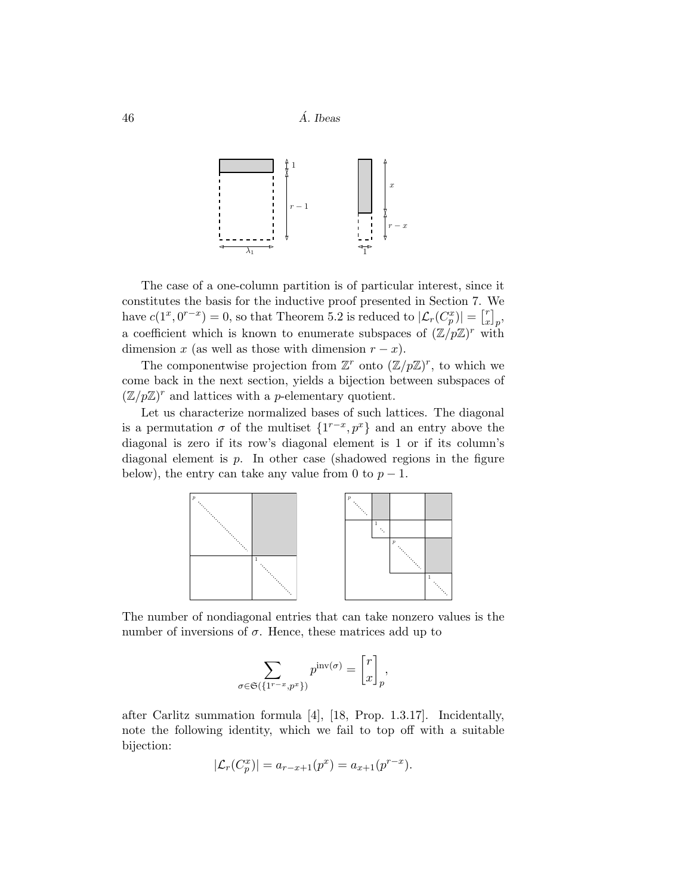$46$   $\AA$ . Ibeas



The case of a one-column partition is of particular interest, since it constitutes the basis for the inductive proof presented in Section 7. We have  $c(1^x, 0^{r-x}) = 0$ , so that Theorem 5.2 is reduced to  $|\mathcal{L}_r(C_p^x)| = \begin{bmatrix} r \\ x \end{bmatrix}$  $\begin{bmatrix} r \ x \end{bmatrix} p$ a coefficient which is known to enumerate subspaces of  $(\mathbb{Z}/p\mathbb{Z})^r$  with dimension x (as well as those with dimension  $r - x$ ).

The componentwise projection from  $\mathbb{Z}^r$  onto  $(\mathbb{Z}/p\mathbb{Z})^r$ , to which we come back in the next section, yields a bijection between subspaces of  $(\mathbb{Z}/p\mathbb{Z})^r$  and lattices with a *p*-elementary quotient.

Let us characterize normalized bases of such lattices. The diagonal is a permutation  $\sigma$  of the multiset  $\{1^{r-x}, p^x\}$  and an entry above the diagonal is zero if its row's diagonal element is 1 or if its column's diagonal element is  $p$ . In other case (shadowed regions in the figure below), the entry can take any value from 0 to  $p-1$ .



The number of nondiagonal entries that can take nonzero values is the number of inversions of  $\sigma$ . Hence, these matrices add up to

$$
\sum_{\sigma \in \mathfrak{S}\left(\{1^{r-x}, p^x\}\right)} p^{\text{inv}(\sigma)} = \begin{bmatrix} r \\ x \end{bmatrix}_p,
$$

after Carlitz summation formula [4], [18, Prop. 1.3.17]. Incidentally, note the following identity, which we fail to top off with a suitable bijection:

$$
|\mathcal{L}_r(C_p^x)| = a_{r-x+1}(p^x) = a_{x+1}(p^{r-x}).
$$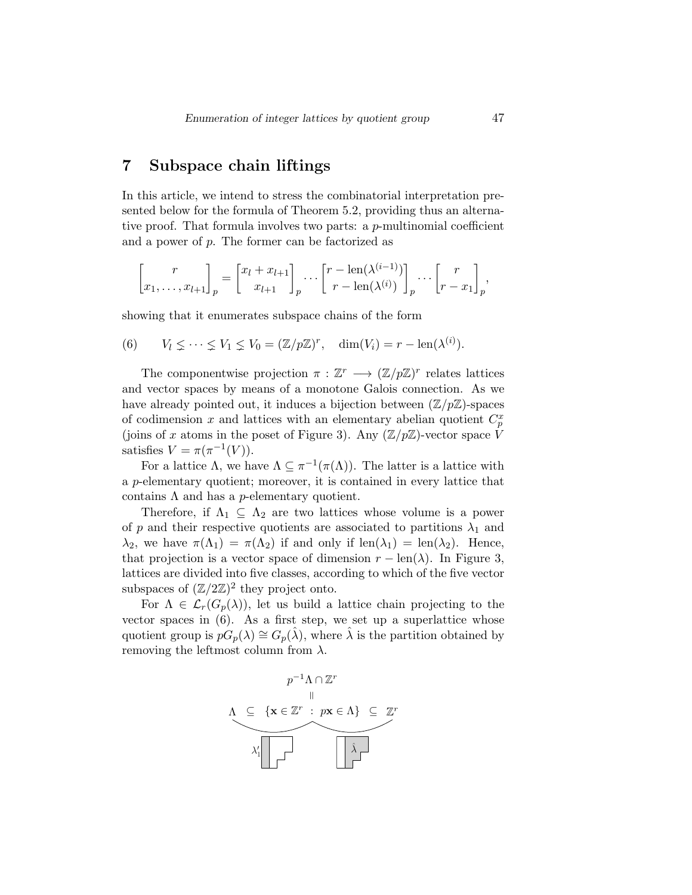### 7 Subspace chain liftings

In this article, we intend to stress the combinatorial interpretation presented below for the formula of Theorem 5.2, providing thus an alternative proof. That formula involves two parts: a  $p$ -multinomial coefficient and a power of p. The former can be factorized as

$$
\begin{bmatrix} r \ x_1, \dots, x_{l+1} \end{bmatrix}_p = \begin{bmatrix} x_l + x_{l+1} \ x_{l+1} \end{bmatrix}_p \dots \begin{bmatrix} r - \text{len}(\lambda^{(i-1)}) \ r - \text{len}(\lambda^{(i)}) \end{bmatrix}_p \dots \begin{bmatrix} r \ r - x_1 \end{bmatrix}_p,
$$

showing that it enumerates subspace chains of the form

(6) 
$$
V_l \leq \cdots \leq V_1 \leq V_0 = (\mathbb{Z}/p\mathbb{Z})^r
$$
,  $\dim(V_i) = r - \text{len}(\lambda^{(i)})$ .

The componentwise projection  $\pi : \mathbb{Z}^r \longrightarrow (\mathbb{Z}/p\mathbb{Z})^r$  relates lattices and vector spaces by means of a monotone Galois connection. As we have already pointed out, it induces a bijection between  $(\mathbb{Z}/p\mathbb{Z})$ -spaces of codimension x and lattices with an elementary abelian quotient  $C_p^x$ (joins of x atoms in the poset of Figure 3). Any  $(\mathbb{Z}/p\mathbb{Z})$ -vector space  $\hat{V}$ satisfies  $V = \pi(\pi^{-1}(V)).$ 

For a lattice  $\Lambda$ , we have  $\Lambda \subseteq \pi^{-1}(\pi(\Lambda))$ . The latter is a lattice with a p-elementary quotient; moreover, it is contained in every lattice that contains  $\Lambda$  and has a *p*-elementary quotient.

Therefore, if  $\Lambda_1 \subseteq \Lambda_2$  are two lattices whose volume is a power of p and their respective quotients are associated to partitions  $\lambda_1$  and  $\lambda_2$ , we have  $\pi(\Lambda_1) = \pi(\Lambda_2)$  if and only if  $\text{len}(\lambda_1) = \text{len}(\lambda_2)$ . Hence, that projection is a vector space of dimension  $r - \text{len}(\lambda)$ . In Figure 3, lattices are divided into five classes, according to which of the five vector subspaces of  $(\mathbb{Z}/2\mathbb{Z})^2$  they project onto.

For  $\Lambda \in \mathcal{L}_r(G_p(\lambda))$ , let us build a lattice chain projecting to the vector spaces in (6). As a first step, we set up a superlattice whose quotient group is  $pG_p(\lambda) \cong G_p(\hat{\lambda})$ , where  $\hat{\lambda}$  is the partition obtained by removing the leftmost column from  $\lambda$ .

$$
p^{-1}\Lambda \cap \mathbb{Z}^r
$$
\n
$$
\Lambda \subseteq \{ \mathbf{x} \in \mathbb{Z}^r : p\mathbf{x} \in \Lambda \} \subseteq \mathbb{Z}^r
$$
\n
$$
\lambda_1' \square \square
$$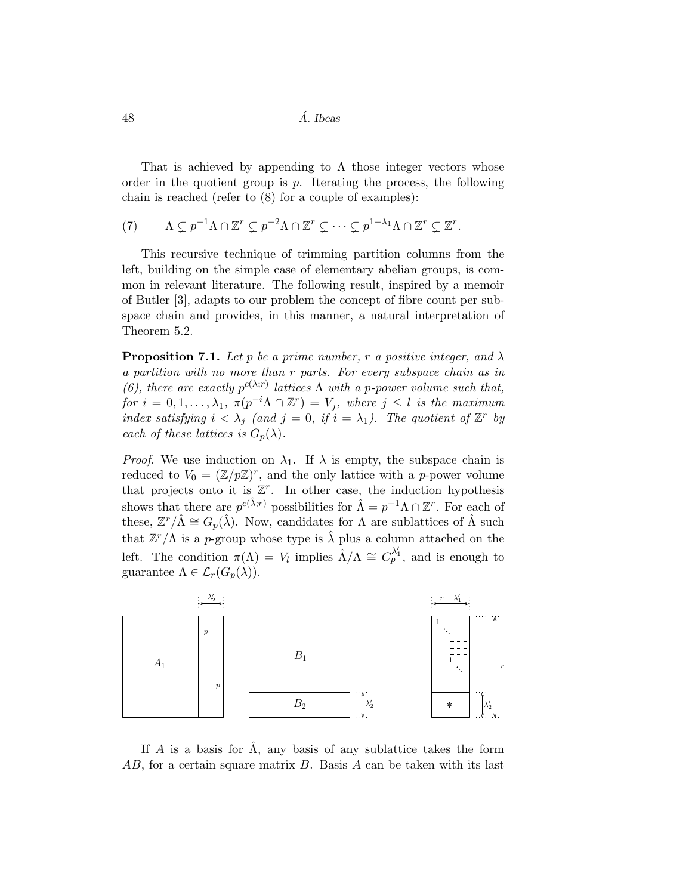$48$  *A. Ibeas* 

That is achieved by appending to  $\Lambda$  those integer vectors whose order in the quotient group is  $p$ . Iterating the process, the following chain is reached (refer to (8) for a couple of examples):

$$
(7) \qquad \Lambda \subsetneq p^{-1}\Lambda \cap \mathbb{Z}^r \subsetneq p^{-2}\Lambda \cap \mathbb{Z}^r \subsetneq \cdots \subsetneq p^{1-\lambda_1}\Lambda \cap \mathbb{Z}^r \subsetneq \mathbb{Z}^r.
$$

This recursive technique of trimming partition columns from the left, building on the simple case of elementary abelian groups, is common in relevant literature. The following result, inspired by a memoir of Butler [3], adapts to our problem the concept of fibre count per subspace chain and provides, in this manner, a natural interpretation of Theorem 5.2.

**Proposition 7.1.** Let p be a prime number, r a positive integer, and  $\lambda$ a partition with no more than r parts. For every subspace chain as in (6), there are exactly  $p^{c(\lambda;r)}$  lattices  $\Lambda$  with a p-power volume such that, for  $i = 0, 1, ..., \lambda_1$ ,  $\pi(p^{-i}\Lambda \cap \mathbb{Z}^r) = V_j$ , where  $j \leq l$  is the maximum index satisfying  $i < \lambda_j$  (and  $j = 0$ , if  $i = \lambda_1$ ). The quotient of  $\mathbb{Z}^r$  by each of these lattices is  $G_p(\lambda)$ .

*Proof.* We use induction on  $\lambda_1$ . If  $\lambda$  is empty, the subspace chain is reduced to  $V_0 = (\mathbb{Z}/p\mathbb{Z})^r$ , and the only lattice with a p-power volume that projects onto it is  $\mathbb{Z}^r$ . In other case, the induction hypothesis shows that there are  $p^{c(\hat{\lambda};r)}$  possibilities for  $\hat{\Lambda} = p^{-1}\Lambda \cap \mathbb{Z}^r$ . For each of these,  $\mathbb{Z}^r/\hat{\Lambda} \cong G_p(\hat{\lambda})$ . Now, candidates for  $\Lambda$  are sublattices of  $\hat{\Lambda}$  such that  $\mathbb{Z}^r/\Lambda$  is a p-group whose type is  $\hat{\lambda}$  plus a column attached on the left. The condition  $\pi(\Lambda) = V_l$  implies  $\hat{\Lambda}/\Lambda \cong C_p^{\lambda'_1}$ , and is enough to guarantee  $\Lambda \in \mathcal{L}_r(G_p(\lambda)).$ 



If A is a basis for  $\hat{\Lambda}$ , any basis of any sublattice takes the form  $AB$ , for a certain square matrix  $B$ . Basis  $A$  can be taken with its last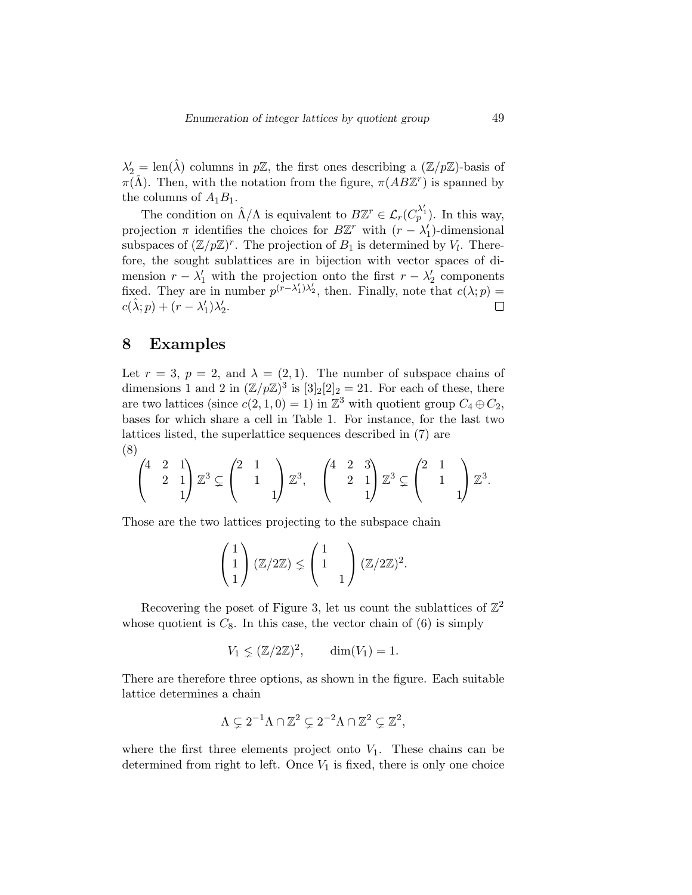$\lambda_2' = \text{len}(\hat{\lambda})$  columns in  $p\mathbb{Z}$ , the first ones describing a  $(\mathbb{Z}/p\mathbb{Z})$ -basis of  $\pi(\hat{\Lambda})$ . Then, with the notation from the figure,  $\pi(AB\mathbb{Z}^r)$  is spanned by the columns of  $A_1B_1$ .

The condition on  $\hat{\Lambda}/\Lambda$  is equivalent to  $B\mathbb{Z}^r \in \mathcal{L}_r(C_p^{\lambda'_1})$ . In this way, projection  $\pi$  identifies the choices for  $B\mathbb{Z}^r$  with  $(r - \lambda'_1)$ -dimensional subspaces of  $(\mathbb{Z}/p\mathbb{Z})^r$ . The projection of  $B_1$  is determined by  $V_l$ . Therefore, the sought sublattices are in bijection with vector spaces of dimension  $r - \lambda'_1$  with the projection onto the first  $r - \lambda'_2$  components fixed. They are in number  $p^{(r-\lambda_1')\lambda_2'}$ , then. Finally, note that  $c(\lambda; p)$  =  $c(\hat{\lambda}; p) + (r - \lambda'_1)\lambda'_2.$  $\Box$ 

#### 8 Examples

Let  $r = 3$ ,  $p = 2$ , and  $\lambda = (2, 1)$ . The number of subspace chains of dimensions 1 and 2 in  $(\mathbb{Z}/p\mathbb{Z})^3$  is  $[3]_2[2]_2 = 21$ . For each of these, there are two lattices (since  $c(2, 1, 0) = 1$ ) in  $\mathbb{Z}^3$  with quotient group  $C_4 \oplus C_2$ , bases for which share a cell in Table 1. For instance, for the last two lattices listed, the superlattice sequences described in (7) are (8)

$$
\begin{pmatrix} 4 & 2 & 1 \ 2 & 1 & 1 \ 1 & 1 \end{pmatrix} \mathbb{Z}^3 \subsetneq \begin{pmatrix} 2 & 1 & 1 \ 1 & 1 & 1 \end{pmatrix} \mathbb{Z}^3, \quad \begin{pmatrix} 4 & 2 & 3 \ 2 & 1 & 1 \ 1 & 1 & 1 \end{pmatrix} \mathbb{Z}^3 \subsetneq \begin{pmatrix} 2 & 1 & 1 \ 1 & 1 & 1 \end{pmatrix} \mathbb{Z}^3.
$$

Those are the two lattices projecting to the subspace chain

$$
\begin{pmatrix} 1 \\ 1 \\ 1 \end{pmatrix} (\mathbb{Z}/2\mathbb{Z}) \leq \begin{pmatrix} 1 \\ 1 \\ 1 \end{pmatrix} (\mathbb{Z}/2\mathbb{Z})^2.
$$

Recovering the poset of Figure 3, let us count the sublattices of  $\mathbb{Z}^2$ whose quotient is  $C_8$ . In this case, the vector chain of  $(6)$  is simply

$$
V_1 \leq (\mathbb{Z}/2\mathbb{Z})^2, \qquad \dim(V_1) = 1.
$$

There are therefore three options, as shown in the figure. Each suitable lattice determines a chain

$$
\Lambda \subsetneq 2^{-1}\Lambda \cap \mathbb{Z}^2 \subsetneq 2^{-2}\Lambda \cap \mathbb{Z}^2 \subsetneq \mathbb{Z}^2,
$$

where the first three elements project onto  $V_1$ . These chains can be determined from right to left. Once  $V_1$  is fixed, there is only one choice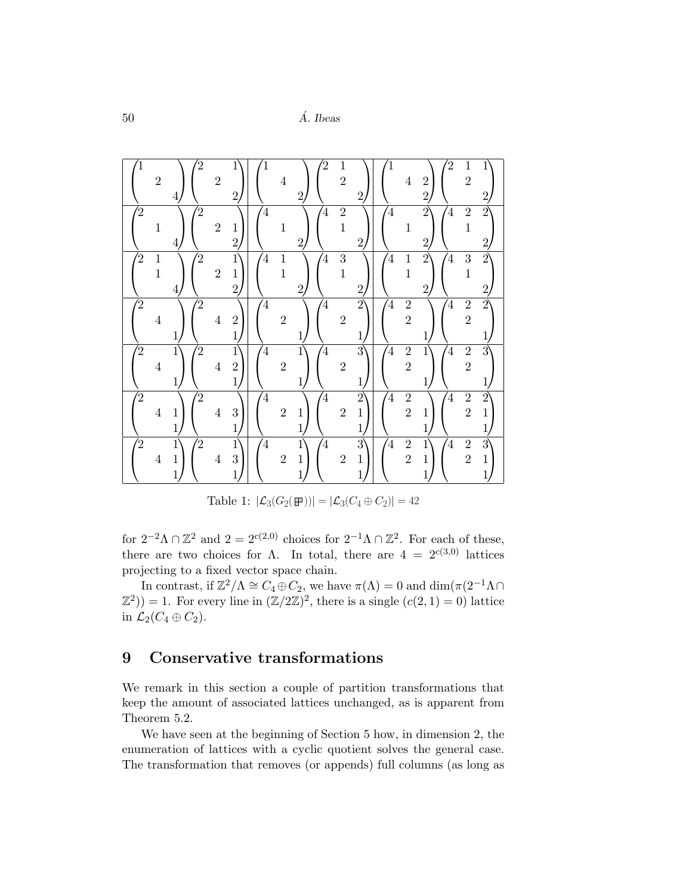50 A. Ibeas ´

|                   | $\sqrt{2}$            | $\overline{4}$                              | $\rm 2$        | $\boldsymbol{2}$ | $1\overline{ }$<br>$\overline{2}$                |                | $\overline{4}$        | $\overline{2}$              | 2              | $\,1$<br>$\overline{2}$    | $\overline{2}$                                |                | $\,4\,$                            | $\overline{2}$<br>$\overline{2}$  | $\overline{2}$ | $\mathbf 1$<br>$\overline{2}$    | 1<br>$\overline{2}$                            |
|-------------------|-----------------------|---------------------------------------------|----------------|------------------|--------------------------------------------------|----------------|-----------------------|-----------------------------|----------------|----------------------------|-----------------------------------------------|----------------|------------------------------------|-----------------------------------|----------------|----------------------------------|------------------------------------------------|
| 2                 | $\mathbf{1}$          | $\overline{4}$                              | 2              | $\overline{2}$   | $\mathbf{1}$<br>$\overline{2}$                   | $\overline{4}$ | $\mathbf{1}$          | $\overline{2}$              | $\overline{4}$ | $\sqrt{2}$<br>$\mathbf{1}$ | $\overline{2}$                                | $\overline{4}$ | $\mathbf{1}$                       | $\overline{2}$<br>$\overline{2}$  | $\overline{4}$ | $\sqrt{2}$<br>$\mathbf 1$        | $\overline{2}$<br>$\overline{2}$               |
| $^{^{\prime}\!2}$ | $\,1$<br>$\mathbf{1}$ | 4                                           | $\overline{2}$ | $\overline{2}$   | $\mathbf{1}$<br>$\mathbf{1}$<br>$\overline{2}$   | $\overline{4}$ | $\,1$<br>$\mathbf{1}$ | $\overline{2}$              | $\overline{4}$ | 3<br>$\mathbf{1}$          | $\overline{2}$                                | $\overline{4}$ | $\mathbf{1}$<br>$\mathbf{1}$       | $\overline{2}$<br>$\overline{2}$  | $\overline{4}$ | $\overline{3}$<br>$\mathbf{1}$   | $\overline{2}$<br>$\overline{2}$               |
| $\overline{2}$    | $\,4\,$               | $\mathbf{1}$                                | $\overline{2}$ | $\,4\,$          | $\overline{2}$<br>$\mathbf{1}$                   | $\overline{4}$ | $\overline{2}$        |                             | $\overline{4}$ | $\overline{2}$             | $\overline{2}$<br>1                           | $\overline{4}$ | $\boldsymbol{2}$<br>$\overline{2}$ |                                   | $\overline{4}$ | $\overline{2}$<br>$\overline{2}$ | $\overline{2}$                                 |
| $\frac{1}{2}$     | $\bf 4$               | $1\overline{ }$<br>$\mathbf{1}$             | $\overline{2}$ | $\overline{4}$   | $1\overline{ }$<br>$\overline{2}$<br>$\mathbf 1$ | $\overline{4}$ | $\overline{2}$        | 1<br>$\mathbf 1$            | $\overline{4}$ | $\overline{2}$             | $_{3}^{\circ}$<br>$\mathbf{1}$                | $\overline{4}$ | $\frac{2}{2}$                      | 1<br>$\mathbf{1}$                 | $\overline{4}$ | $\frac{2}{2}$                    | $\overline{3}$                                 |
| $\overline{2}$    | $\,4\,$               | $\mathbf{1}$<br>$\mathbf{1}$                | $\bar{2}$      | $\overline{4}$   | 3<br>$\mathbf{1}$                                | $\overline{4}$ | $\overline{2}$        | $\mathbf 1$<br>$\mathbf{1}$ | $\overline{4}$ | $\sqrt{2}$                 | $\overline{2}$<br>$\mathbf 1$<br>$\mathbf{1}$ | $\overline{4}$ | $\overline{2}$<br>$\overline{2}$   | $\mathbf{1}$<br>$\mathbf{1}$      | $\overline{4}$ | $\overline{2}$<br>$\overline{2}$ | $\overline{2}$<br>$\mathbf{1}$<br>1            |
| 2                 | $\bf 4$               | $\mathbf{1}$<br>$\mathbf{1}$<br>$\mathbf 1$ | $^{'}2$        | $\,4\,$          | $\mathbf{1}$<br>3<br>1                           | $\overline{4}$ | $\overline{2}$        | 1<br>$\mathbf 1$<br>1       | $\overline{4}$ | $\overline{2}$             | 3<br>$\mathbf 1$<br>1                         | $\overline{4}$ | $\frac{2}{2}$                      | $\mathbf{1}$<br>$\mathbf{1}$<br>1 | $\overline{4}$ | $\overline{2}$<br>$\overline{2}$ | $\overline{3}$<br>$\mathbf{1}$<br>$\mathbf{1}$ |

Table 1:  $|\mathcal{L}_3(G_2(\mathbb{F}))| = |\mathcal{L}_3(C_4 \oplus C_2)| = 42$ 

for  $2^{-2}\Lambda \cap \mathbb{Z}^2$  and  $2 = 2^{c(2,0)}$  choices for  $2^{-1}\Lambda \cap \mathbb{Z}^2$ . For each of these, there are two choices for Λ. In total, there are  $4 = 2^{c(3,0)}$  lattices projecting to a fixed vector space chain.

In contrast, if  $\mathbb{Z}^2/\Lambda \cong C_4 \oplus C_2$ , we have  $\pi(\Lambda) = 0$  and  $\dim(\pi(2^{-1}\Lambda \cap \mathbb{Z}^2)) = 1$ . For every line in  $(\mathbb{Z}/2\mathbb{Z})^2$ , there is a single  $(c(2, 1) = 0)$  lattice in  $\mathcal{L}_2(C_4 \oplus C_2)$ .

## 9 Conservative transformations

We remark in this section a couple of partition transformations that keep the amount of associated lattices unchanged, as is apparent from Theorem 5.2.

We have seen at the beginning of Section 5 how, in dimension 2, the enumeration of lattices with a cyclic quotient solves the general case. The transformation that removes (or appends) full columns (as long as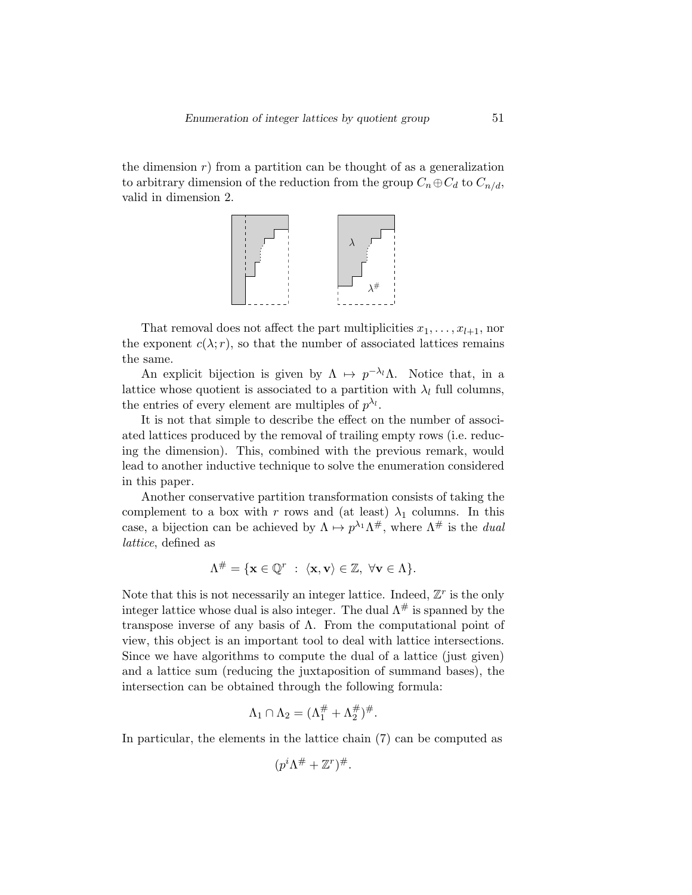the dimension  $r$ ) from a partition can be thought of as a generalization to arbitrary dimension of the reduction from the group  $C_n \oplus C_d$  to  $C_{n/d}$ , valid in dimension 2.



That removal does not affect the part multiplicities  $x_1, \ldots, x_{l+1}$ , nor the exponent  $c(\lambda; r)$ , so that the number of associated lattices remains the same.

An explicit bijection is given by  $\Lambda \mapsto p^{-\lambda_l}\Lambda$ . Notice that, in a lattice whose quotient is associated to a partition with  $\lambda_l$  full columns, the entries of every element are multiples of  $p^{\lambda_l}$ .

It is not that simple to describe the effect on the number of associated lattices produced by the removal of trailing empty rows (i.e. reducing the dimension). This, combined with the previous remark, would lead to another inductive technique to solve the enumeration considered in this paper.

Another conservative partition transformation consists of taking the complement to a box with r rows and (at least)  $\lambda_1$  columns. In this case, a bijection can be achieved by  $\Lambda \mapsto p^{\lambda_1} \Lambda^{\#}$ , where  $\Lambda^{\#}$  is the *dual* lattice, defined as

$$
\Lambda^{\#} = \{ \mathbf{x} \in \mathbb{Q}^r \; : \; \langle \mathbf{x}, \mathbf{v} \rangle \in \mathbb{Z}, \; \forall \mathbf{v} \in \Lambda \}.
$$

Note that this is not necessarily an integer lattice. Indeed,  $\mathbb{Z}^r$  is the only integer lattice whose dual is also integer. The dual  $\Lambda^{\#}$  is spanned by the transpose inverse of any basis of  $\Lambda$ . From the computational point of view, this object is an important tool to deal with lattice intersections. Since we have algorithms to compute the dual of a lattice (just given) and a lattice sum (reducing the juxtaposition of summand bases), the intersection can be obtained through the following formula:

$$
\Lambda_1 \cap \Lambda_2 = (\Lambda_1^{\#} + \Lambda_2^{\#})^{\#}.
$$

In particular, the elements in the lattice chain (7) can be computed as

$$
(p^i \Lambda^\# + \mathbb{Z}^r)^\#.
$$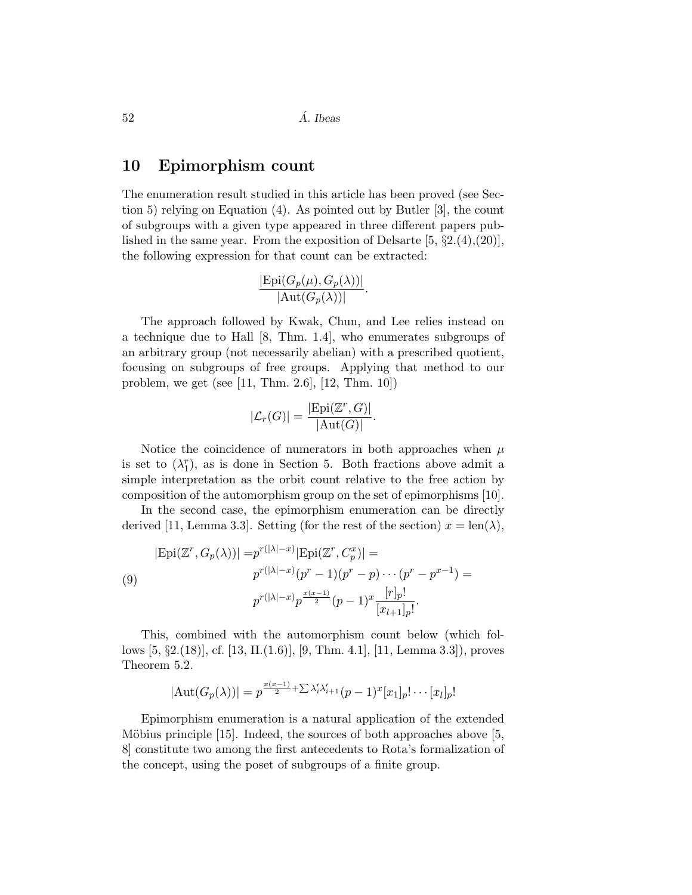$52 \quad \overline{\text{A}}$ . Ibeas

#### 10 Epimorphism count

The enumeration result studied in this article has been proved (see Section 5) relying on Equation (4). As pointed out by Butler [3], the count of subgroups with a given type appeared in three different papers published in the same year. From the exposition of Delsarte  $[5, \S2.4, (20)]$ , the following expression for that count can be extracted:

$$
\frac{|\text{Epi}(G_p(\mu), G_p(\lambda))|}{|\text{Aut}(G_p(\lambda))|}.
$$

The approach followed by Kwak, Chun, and Lee relies instead on a technique due to Hall [8, Thm. 1.4], who enumerates subgroups of an arbitrary group (not necessarily abelian) with a prescribed quotient, focusing on subgroups of free groups. Applying that method to our problem, we get (see [11, Thm. 2.6], [12, Thm. 10])

$$
|\mathcal{L}_r(G)| = \frac{|\text{Epi}(\mathbb{Z}^r, G)|}{|\text{Aut}(G)|}.
$$

Notice the coincidence of numerators in both approaches when  $\mu$ is set to  $(\lambda_1^r)$ , as is done in Section 5. Both fractions above admit a simple interpretation as the orbit count relative to the free action by composition of the automorphism group on the set of epimorphisms [10].

In the second case, the epimorphism enumeration can be directly derived [11, Lemma 3.3]. Setting (for the rest of the section)  $x = \text{len}(\lambda)$ ,

$$
|\text{Epi}(\mathbb{Z}^r, G_p(\lambda))| = p^{r(|\lambda|-x)} |\text{Epi}(\mathbb{Z}^r, C_p^x)| =
$$
  
(9)  

$$
p^{r(|\lambda|-x)}(p^r - 1)(p^r - p) \cdots (p^r - p^{x-1}) =
$$
  

$$
p^{r(|\lambda|-x)} p^{\frac{x(x-1)}{2}} (p-1)^x \frac{[r]_p!}{[x_{l+1}]_p!}.
$$

This, combined with the automorphism count below (which follows [5, §2.(18)], cf. [13, II.(1.6)], [9, Thm. 4.1], [11, Lemma 3.3]), proves Theorem 5.2.

$$
|\mathrm{Aut}(G_p(\lambda))|=p^{\frac{x(x-1)}{2}+\sum \lambda_i'\lambda_{i+1}'}(p-1)^x[x_1]_p!\cdots[x_l]_p!
$$

Epimorphism enumeration is a natural application of the extended Möbius principle  $[15]$ . Indeed, the sources of both approaches above  $[5,$ 8] constitute two among the first antecedents to Rota's formalization of the concept, using the poset of subgroups of a finite group.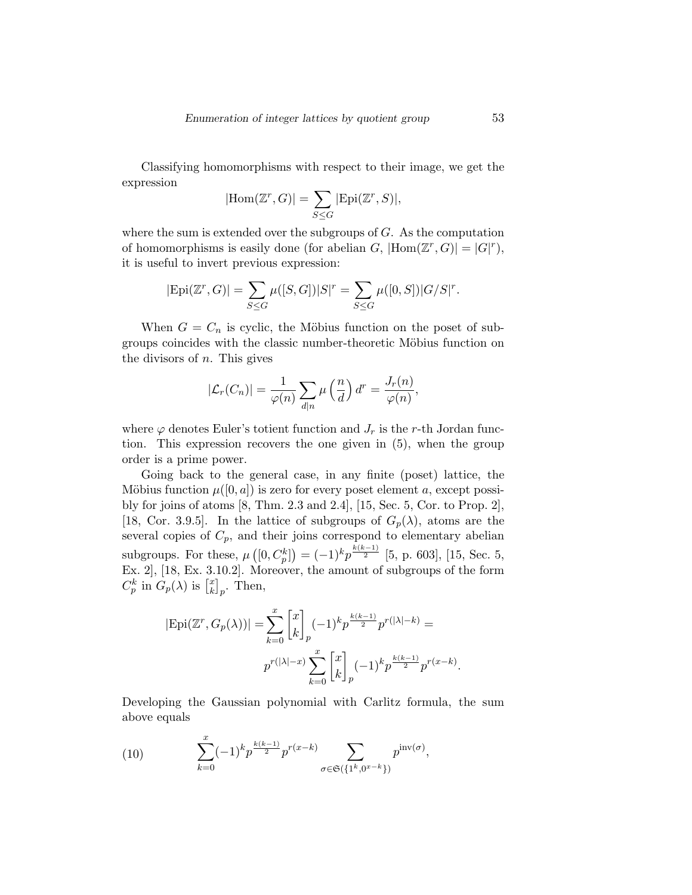Classifying homomorphisms with respect to their image, we get the expression

$$
|\text{Hom}(\mathbb{Z}^r, G)| = \sum_{S \leq G} |\text{Epi}(\mathbb{Z}^r, S)|,
$$

where the sum is extended over the subgroups of  $G$ . As the computation of homomorphisms is easily done (for abelian  $G$ ,  $|\text{Hom}(\mathbb{Z}^r, G)| = |G|^r$ ), it is useful to invert previous expression:

$$
|\text{Epi}(\mathbb{Z}^r, G)| = \sum_{S \le G} \mu([S, G]) |S|^r = \sum_{S \le G} \mu([0, S]) |G/S|^r.
$$

When  $G = C_n$  is cyclic, the Möbius function on the poset of subgroups coincides with the classic number-theoretic Möbius function on the divisors of  $n$ . This gives

$$
|\mathcal{L}_r(C_n)| = \frac{1}{\varphi(n)} \sum_{d|n} \mu\left(\frac{n}{d}\right) d^r = \frac{J_r(n)}{\varphi(n)},
$$

where  $\varphi$  denotes Euler's totient function and  $J_r$  is the r-th Jordan function. This expression recovers the one given in (5), when the group order is a prime power.

Going back to the general case, in any finite (poset) lattice, the Möbius function  $\mu([0, a])$  is zero for every poset element a, except possibly for joins of atoms [8, Thm. 2.3 and 2.4], [15, Sec. 5, Cor. to Prop. 2], [18, Cor. 3.9.5]. In the lattice of subgroups of  $G_p(\lambda)$ , atoms are the several copies of  $C_p$ , and their joins correspond to elementary abelian subgroups. For these,  $\mu\left([0, C_p^k]\right) = (-1)^k p^{\frac{k(k-1)}{2}}$  [5, p. 603], [15, Sec. 5, Ex. 2], [18, Ex. 3.10.2]. Moreover, the amount of subgroups of the form  $C_p^k$  in  $G_p(\lambda)$  is  $\begin{bmatrix} x \\ k \end{bmatrix}$  $_{k}^{x}]_{p}$ . Then,

$$
|\text{Epi}(\mathbb{Z}^r, G_p(\lambda))| = \sum_{k=0}^x \begin{bmatrix} x \\ k \end{bmatrix}_p (-1)^k p^{\frac{k(k-1)}{2}} p^{r(|\lambda|-k)} =
$$
  

$$
p^{r(|\lambda|-x)} \sum_{k=0}^x \begin{bmatrix} x \\ k \end{bmatrix}_p (-1)^k p^{\frac{k(k-1)}{2}} p^{r(x-k)}.
$$

Developing the Gaussian polynomial with Carlitz formula, the sum above equals

(10) 
$$
\sum_{k=0}^{x} (-1)^{k} p^{\frac{k(k-1)}{2}} p^{r(x-k)} \sum_{\sigma \in \mathfrak{S}(\{1^{k}, 0^{x-k}\})} p^{\text{inv}(\sigma)},
$$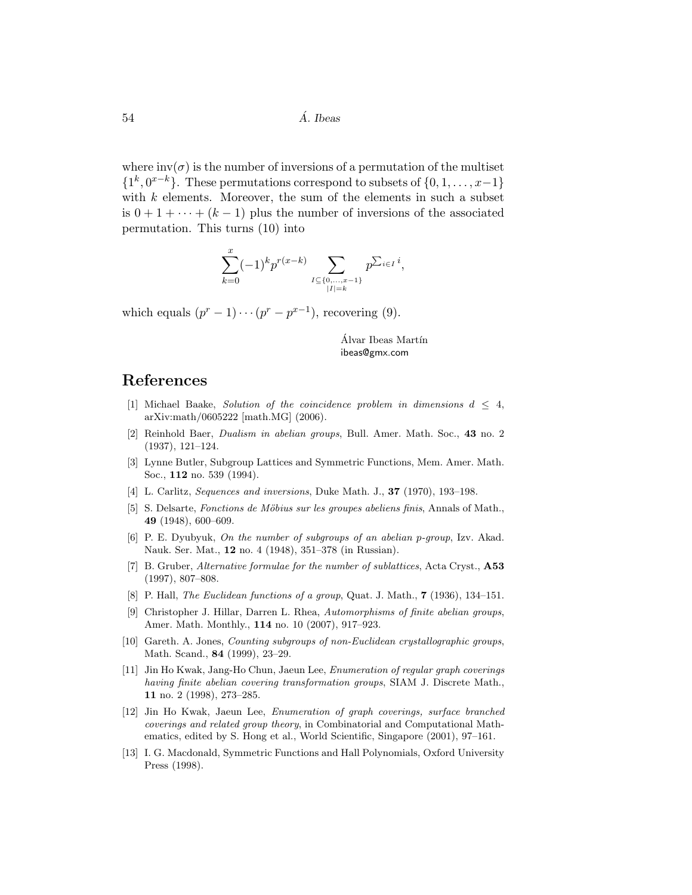where  $inv(\sigma)$  is the number of inversions of a permutation of the multiset  $\{1^k, 0^{x-k}\}.$  These permutations correspond to subsets of  $\{0, 1, \ldots, x-1\}$ with  $k$  elements. Moreover, the sum of the elements in such a subset is  $0 + 1 + \cdots + (k-1)$  plus the number of inversions of the associated permutation. This turns (10) into

$$
\sum_{k=0}^{x}(-1)^{k}p^{r(x-k)}\sum_{\substack{I\subseteq\{0,\ldots,x-1\}\\|I|=k}}p^{\sum_{i\in I}i},
$$

which equals  $(p^r - 1) \cdots (p^r - p^{x-1})$ , recovering (9).

Álvar Ibeas Martín ibeas@gmx.com

### References

- [1] Michael Baake, Solution of the coincidence problem in dimensions  $d \leq 4$ , arXiv:math/0605222 [math.MG] (2006).
- [2] Reinhold Baer, Dualism in abelian groups, Bull. Amer. Math. Soc., 43 no. 2 (1937), 121–124.
- [3] Lynne Butler, Subgroup Lattices and Symmetric Functions, Mem. Amer. Math. Soc., 112 no. 539 (1994).
- [4] L. Carlitz, *Sequences and inversions*, Duke Math. J., **37** (1970), 193–198.
- [5] S. Delsarte, Fonctions de Möbius sur les groupes abeliens finis, Annals of Math., 49 (1948), 600–609.
- [6] P. E. Dyubyuk, On the number of subgroups of an abelian p-group, Izv. Akad. Nauk. Ser. Mat., 12 no. 4 (1948), 351–378 (in Russian).
- [7] B. Gruber, Alternative formulae for the number of sublattices, Acta Cryst., A53 (1997), 807–808.
- [8] P. Hall, The Euclidean functions of a group, Quat. J. Math., 7 (1936), 134–151.
- [9] Christopher J. Hillar, Darren L. Rhea, Automorphisms of finite abelian groups, Amer. Math. Monthly., 114 no. 10 (2007), 917–923.
- [10] Gareth. A. Jones, Counting subgroups of non-Euclidean crystallographic groups, Math. Scand., 84 (1999), 23–29.
- [11] Jin Ho Kwak, Jang-Ho Chun, Jaeun Lee, Enumeration of regular graph coverings having finite abelian covering transformation groups, SIAM J. Discrete Math., 11 no. 2 (1998), 273–285.
- [12] Jin Ho Kwak, Jaeun Lee, Enumeration of graph coverings, surface branched coverings and related group theory, in Combinatorial and Computational Mathematics, edited by S. Hong et al., World Scientific, Singapore (2001), 97–161.
- [13] I. G. Macdonald, Symmetric Functions and Hall Polynomials, Oxford University Press (1998).